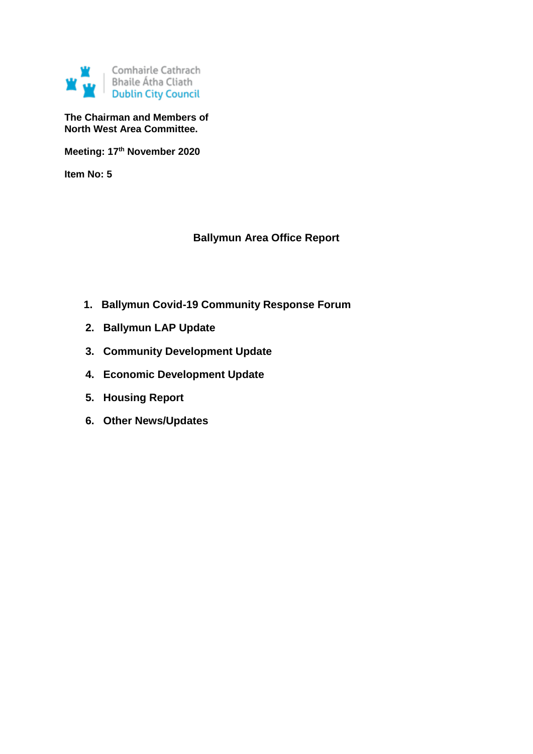

**The Chairman and Members of North West Area Committee.**

**Meeting: 17th November 2020**

**Item No: 5**

# **Ballymun Area Office Report**

- **1. Ballymun Covid-19 Community Response Forum**
- **2. Ballymun LAP Update**
- **3. Community Development Update**
- **4. Economic Development Update**
- **5. Housing Report**
- **6. Other News/Updates**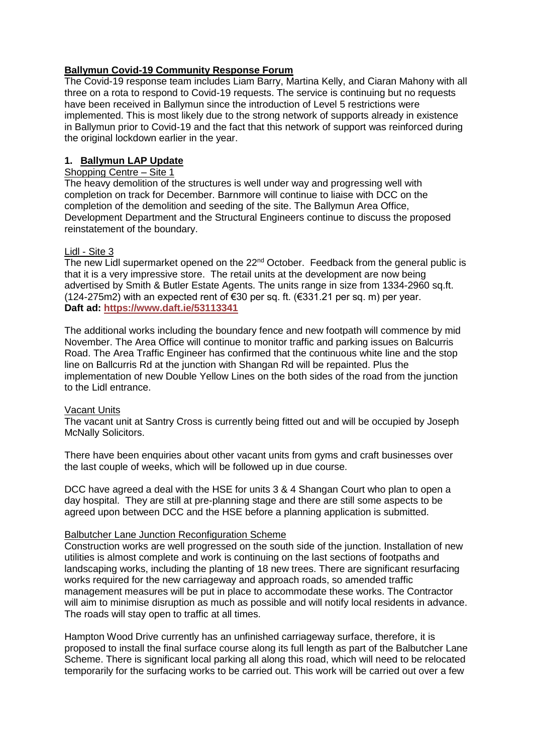## **Ballymun Covid-19 Community Response Forum**

The Covid-19 response team includes Liam Barry, Martina Kelly, and Ciaran Mahony with all three on a rota to respond to Covid-19 requests. The service is continuing but no requests have been received in Ballymun since the introduction of Level 5 restrictions were implemented. This is most likely due to the strong network of supports already in existence in Ballymun prior to Covid-19 and the fact that this network of support was reinforced during the original lockdown earlier in the year.

# **1. Ballymun LAP Update**

## Shopping Centre – Site 1

The heavy demolition of the structures is well under way and progressing well with completion on track for December. Barnmore will continue to liaise with DCC on the completion of the demolition and seeding of the site. The Ballymun Area Office, Development Department and the Structural Engineers continue to discuss the proposed reinstatement of the boundary.

# Lidl - Site 3

The new Lidl supermarket opened on the 22<sup>nd</sup> October. Feedback from the general public is that it is a very impressive store. The retail units at the development are now being advertised by Smith & Butler Estate Agents. The units range in size from 1334-2960 sq.ft. (124-275m2) with an expected rent of  $\epsilon$ 30 per sq. ft. ( $\epsilon$ 331.21 per sq. m) per year. **Daft ad:<https://www.daft.ie/53113341>**

The additional works including the boundary fence and new footpath will commence by mid November. The Area Office will continue to monitor traffic and parking issues on Balcurris Road. The Area Traffic Engineer has confirmed that the continuous white line and the stop line on Ballcurris Rd at the junction with Shangan Rd will be repainted. Plus the implementation of new Double Yellow Lines on the both sides of the road from the junction to the Lidl entrance.

### Vacant Units

The vacant unit at Santry Cross is currently being fitted out and will be occupied by Joseph McNally Solicitors.

There have been enquiries about other vacant units from gyms and craft businesses over the last couple of weeks, which will be followed up in due course.

DCC have agreed a deal with the HSE for units 3 & 4 Shangan Court who plan to open a day hospital. They are still at pre-planning stage and there are still some aspects to be agreed upon between DCC and the HSE before a planning application is submitted.

### Balbutcher Lane Junction Reconfiguration Scheme

Construction works are well progressed on the south side of the junction. Installation of new utilities is almost complete and work is continuing on the last sections of footpaths and landscaping works, including the planting of 18 new trees. There are significant resurfacing works required for the new carriageway and approach roads, so amended traffic management measures will be put in place to accommodate these works. The Contractor will aim to minimise disruption as much as possible and will notify local residents in advance. The roads will stay open to traffic at all times.

Hampton Wood Drive currently has an unfinished carriageway surface, therefore, it is proposed to install the final surface course along its full length as part of the Balbutcher Lane Scheme. There is significant local parking all along this road, which will need to be relocated temporarily for the surfacing works to be carried out. This work will be carried out over a few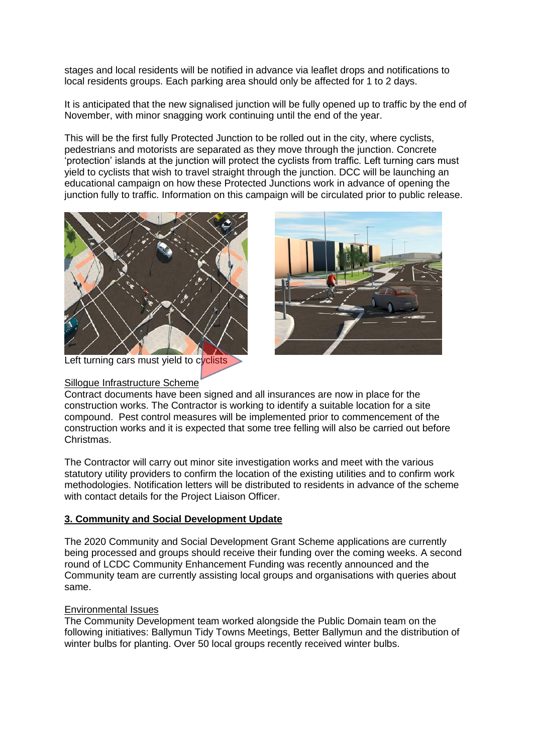stages and local residents will be notified in advance via leaflet drops and notifications to local residents groups. Each parking area should only be affected for 1 to 2 days.

It is anticipated that the new signalised junction will be fully opened up to traffic by the end of November, with minor snagging work continuing until the end of the year.

This will be the first fully Protected Junction to be rolled out in the city, where cyclists, pedestrians and motorists are separated as they move through the junction. Concrete 'protection' islands at the junction will protect the cyclists from traffic. Left turning cars must yield to cyclists that wish to travel straight through the junction. DCC will be launching an educational campaign on how these Protected Junctions work in advance of opening the junction fully to traffic. Information on this campaign will be circulated prior to public release.



Left turning cars must yield to cyclists

#### Sillogue Infrastructure Scheme



Contract documents have been signed and all insurances are now in place for the construction works. The Contractor is working to identify a suitable location for a site compound. Pest control measures will be implemented prior to commencement of the construction works and it is expected that some tree felling will also be carried out before Christmas.

The Contractor will carry out minor site investigation works and meet with the various statutory utility providers to confirm the location of the existing utilities and to confirm work methodologies. Notification letters will be distributed to residents in advance of the scheme with contact details for the Project Liaison Officer.

### **3. Community and Social Development Update**

The 2020 Community and Social Development Grant Scheme applications are currently being processed and groups should receive their funding over the coming weeks. A second round of LCDC Community Enhancement Funding was recently announced and the Community team are currently assisting local groups and organisations with queries about same.

### Environmental Issues

The Community Development team worked alongside the Public Domain team on the following initiatives: Ballymun Tidy Towns Meetings, Better Ballymun and the distribution of winter bulbs for planting. Over 50 local groups recently received winter bulbs.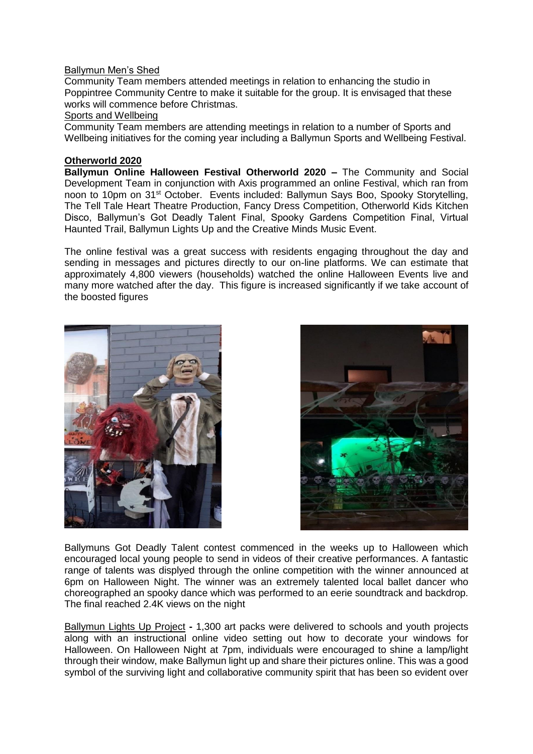#### Ballymun Men's Shed

Community Team members attended meetings in relation to enhancing the studio in Poppintree Community Centre to make it suitable for the group. It is envisaged that these works will commence before Christmas.

#### Sports and Wellbeing

Community Team members are attending meetings in relation to a number of Sports and Wellbeing initiatives for the coming year including a Ballymun Sports and Wellbeing Festival.

### **Otherworld 2020**

**Ballymun Online Halloween Festival Otherworld 2020 –** The Community and Social Development Team in conjunction with Axis programmed an online Festival, which ran from noon to 10pm on 31st October. Events included: Ballymun Says Boo, Spooky Storytelling, The Tell Tale Heart Theatre Production, Fancy Dress Competition, Otherworld Kids Kitchen Disco, Ballymun's Got Deadly Talent Final, Spooky Gardens Competition Final, Virtual Haunted Trail, Ballymun Lights Up and the Creative Minds Music Event.

The online festival was a great success with residents engaging throughout the day and sending in messages and pictures directly to our on-line platforms. We can estimate that approximately 4,800 viewers (households) watched the online Halloween Events live and many more watched after the day. This figure is increased significantly if we take account of the boosted figures





Ballymuns Got Deadly Talent contest commenced in the weeks up to Halloween which encouraged local young people to send in videos of their creative performances. A fantastic range of talents was displyed through the online competition with the winner announced at 6pm on Halloween Night. The winner was an extremely talented local ballet dancer who choreographed an spooky dance which was performed to an eerie soundtrack and backdrop. The final reached 2.4K views on the night

Ballymun Lights Up Project **-** 1,300 art packs were delivered to schools and youth projects along with an instructional online video setting out how to decorate your windows for Halloween. On Halloween Night at 7pm, individuals were encouraged to shine a lamp/light through their window, make Ballymun light up and share their pictures online. This was a good symbol of the surviving light and collaborative community spirit that has been so evident over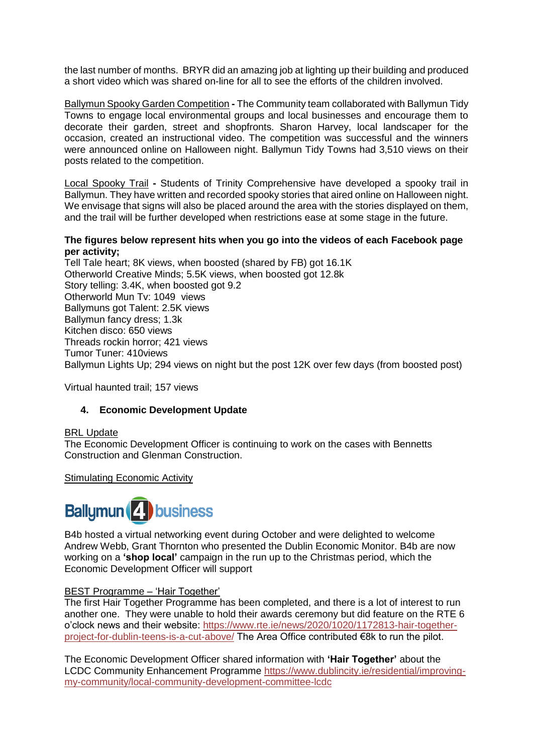the last number of months. BRYR did an amazing job at lighting up their building and produced a short video which was shared on-line for all to see the efforts of the children involved.

Ballymun Spooky Garden Competition **-** The Community team collaborated with Ballymun Tidy Towns to engage local environmental groups and local businesses and encourage them to decorate their garden, street and shopfronts. Sharon Harvey, local landscaper for the occasion, created an instructional video. The competition was successful and the winners were announced online on Halloween night. Ballymun Tidy Towns had 3,510 views on their posts related to the competition.

Local Spooky Trail **-** Students of Trinity Comprehensive have developed a spooky trail in Ballymun. They have written and recorded spooky stories that aired online on Halloween night. We envisage that signs will also be placed around the area with the stories displayed on them, and the trail will be further developed when restrictions ease at some stage in the future.

#### **The figures below represent hits when you go into the videos of each Facebook page per activity;**

Tell Tale heart; 8K views, when boosted (shared by FB) got 16.1K Otherworld Creative Minds; 5.5K views, when boosted got 12.8k Story telling: 3.4K, when boosted got 9.2 Otherworld Mun Tv: 1049 views Ballymuns got Talent: 2.5K views Ballymun fancy dress; 1.3k Kitchen disco: 650 views Threads rockin horror; 421 views Tumor Tuner: 410views Ballymun Lights Up; 294 views on night but the post 12K over few days (from boosted post)

Virtual haunted trail; 157 views

### **4. Economic Development Update**

### BRL Update

The Economic Development Officer is continuing to work on the cases with Bennetts Construction and Glenman Construction.

Stimulating Economic Activity



B4b hosted a virtual networking event during October and were delighted to welcome Andrew Webb, Grant Thornton who presented the Dublin Economic Monitor. B4b are now working on a **'shop local'** campaign in the run up to the Christmas period, which the Economic Development Officer will support

### BEST Programme – 'Hair Together'

The first Hair Together Programme has been completed, and there is a lot of interest to run another one. They were unable to hold their awards ceremony but did feature on the RTE 6 o'clock news and their website: [https://www.rte.ie/news/2020/1020/1172813-hair-together](https://www.rte.ie/news/2020/1020/1172813-hair-together-project-for-dublin-teens-is-a-cut-above/)[project-for-dublin-teens-is-a-cut-above/](https://www.rte.ie/news/2020/1020/1172813-hair-together-project-for-dublin-teens-is-a-cut-above/) The Area Office contributed €8k to run the pilot.

The Economic Development Officer shared information with **'Hair Together'** about the LCDC Community Enhancement Programme [https://www.dublincity.ie/residential/improving](https://www.dublincity.ie/residential/improving-my-community/local-community-development-committee-lcdc)[my-community/local-community-development-committee-lcdc](https://www.dublincity.ie/residential/improving-my-community/local-community-development-committee-lcdc)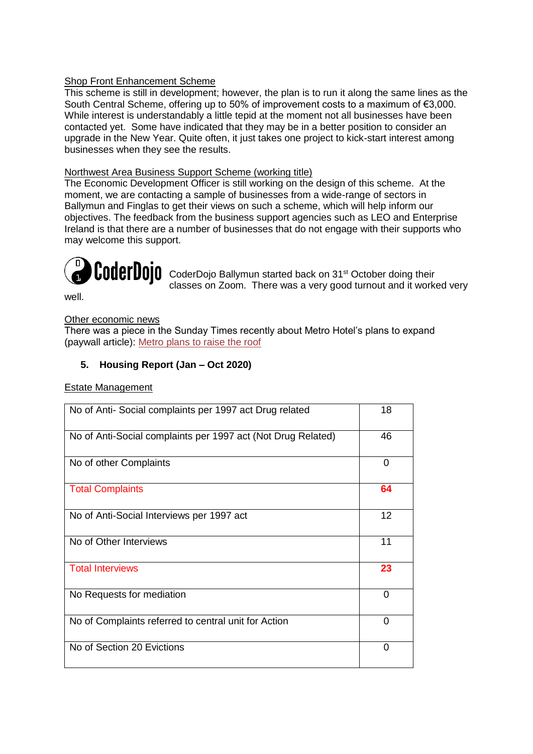# Shop Front Enhancement Scheme

This scheme is still in development; however, the plan is to run it along the same lines as the South Central Scheme, offering up to 50% of improvement costs to a maximum of €3,000. While interest is understandably a little tepid at the moment not all businesses have been contacted yet. Some have indicated that they may be in a better position to consider an upgrade in the New Year. Quite often, it just takes one project to kick-start interest among businesses when they see the results.

# Northwest Area Business Support Scheme (working title)

The Economic Development Officer is still working on the design of this scheme. At the moment, we are contacting a sample of businesses from a wide-range of sectors in Ballymun and Finglas to get their views on such a scheme, which will help inform our objectives. The feedback from the business support agencies such as LEO and Enterprise Ireland is that there are a number of businesses that do not engage with their supports who may welcome this support.



**CoderDojo** CoderDojo Ballymun started back on 31<sup>st</sup> October doing their classes on Zoom. There was a very good turnout and it worked very

well.

### Other economic news

There was a piece in the Sunday Times recently about Metro Hotel's plans to expand (paywall article): [Metro plans to raise the roof](https://www.thetimes.co.uk/article/plan-to-raise-roof-of-metro-hotel-in-ballymun-following-revamp-after-fire-zqkqwvqpm)

# **5. Housing Report (Jan – Oct 2020)**

#### Estate Management

| No of Anti-Social complaints per 1997 act Drug related       | 18       |
|--------------------------------------------------------------|----------|
| No of Anti-Social complaints per 1997 act (Not Drug Related) | 46       |
| No of other Complaints                                       | 0        |
| <b>Total Complaints</b>                                      | 64       |
| No of Anti-Social Interviews per 1997 act                    | 12       |
| No of Other Interviews                                       | 11       |
| <b>Total Interviews</b>                                      | 23       |
| No Requests for mediation                                    | $\Omega$ |
| No of Complaints referred to central unit for Action         | 0        |
| No of Section 20 Evictions                                   | ∩        |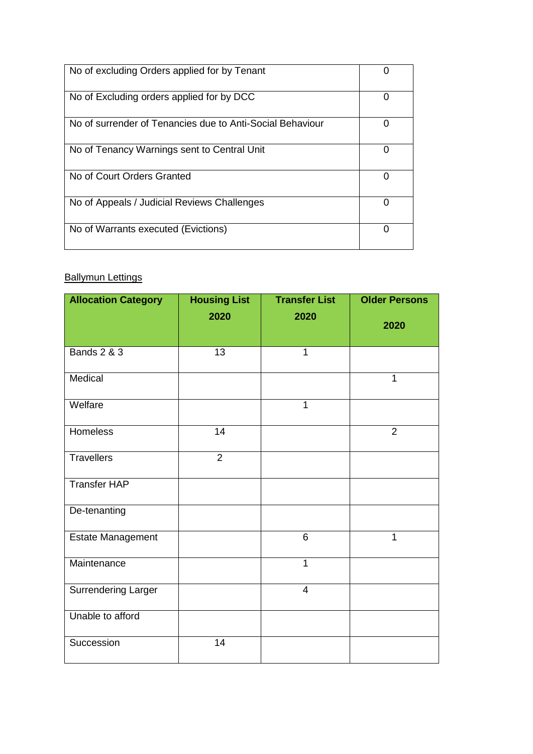| No of excluding Orders applied for by Tenant              |  |
|-----------------------------------------------------------|--|
| No of Excluding orders applied for by DCC                 |  |
| No of surrender of Tenancies due to Anti-Social Behaviour |  |
| No of Tenancy Warnings sent to Central Unit               |  |
| No of Court Orders Granted                                |  |
| No of Appeals / Judicial Reviews Challenges               |  |
| No of Warrants executed (Evictions)                       |  |

# **Ballymun Lettings**

| <b>Allocation Category</b> | <b>Housing List</b> | <b>Transfer List</b> | <b>Older Persons</b> |
|----------------------------|---------------------|----------------------|----------------------|
|                            | 2020                | 2020                 | 2020                 |
| <b>Bands 2 &amp; 3</b>     | 13                  | 1                    |                      |
| Medical                    |                     |                      | 1                    |
| Welfare                    |                     | $\mathbf{1}$         |                      |
| Homeless                   | 14                  |                      | $\overline{2}$       |
| <b>Travellers</b>          | $\overline{2}$      |                      |                      |
| <b>Transfer HAP</b>        |                     |                      |                      |
| De-tenanting               |                     |                      |                      |
| Estate Management          |                     | 6                    | $\mathbf 1$          |
| Maintenance                |                     | $\mathbf{1}$         |                      |
| <b>Surrendering Larger</b> |                     | $\overline{4}$       |                      |
| Unable to afford           |                     |                      |                      |
| Succession                 | 14                  |                      |                      |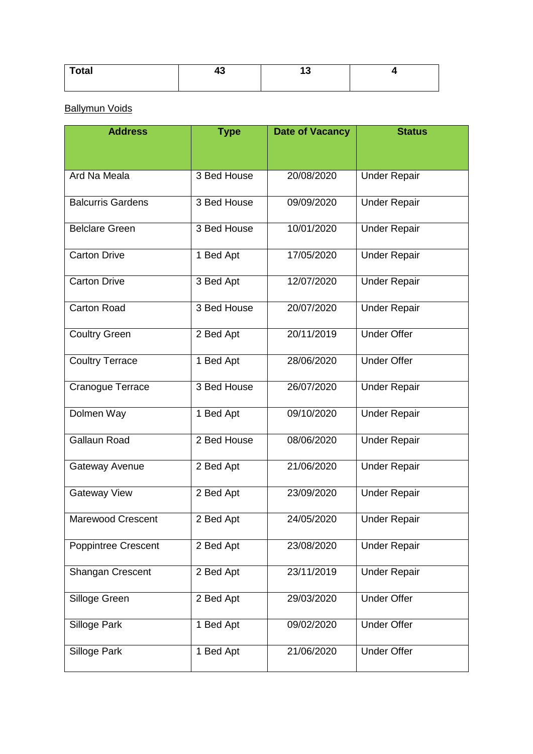| ™otal | . |  |
|-------|---|--|
|       |   |  |

Ballymun Voids

| <b>Address</b>             | <b>Type</b><br><b>Date of Vacancy</b> |            | <b>Status</b>       |
|----------------------------|---------------------------------------|------------|---------------------|
|                            |                                       |            |                     |
| Ard Na Meala               | 3 Bed House                           | 20/08/2020 | <b>Under Repair</b> |
| <b>Balcurris Gardens</b>   | 3 Bed House                           | 09/09/2020 | <b>Under Repair</b> |
| <b>Belclare Green</b>      | 3 Bed House                           | 10/01/2020 | <b>Under Repair</b> |
| <b>Carton Drive</b>        | 1 Bed Apt                             | 17/05/2020 | <b>Under Repair</b> |
| <b>Carton Drive</b>        | 3 Bed Apt                             | 12/07/2020 | <b>Under Repair</b> |
| <b>Carton Road</b>         | 3 Bed House                           | 20/07/2020 | <b>Under Repair</b> |
| <b>Coultry Green</b>       | 2 Bed Apt                             | 20/11/2019 | <b>Under Offer</b>  |
| <b>Coultry Terrace</b>     | 1 Bed Apt                             | 28/06/2020 | <b>Under Offer</b>  |
| Cranogue Terrace           | 3 Bed House                           | 26/07/2020 | <b>Under Repair</b> |
| Dolmen Way                 | 1 Bed Apt                             | 09/10/2020 | <b>Under Repair</b> |
| <b>Gallaun Road</b>        | 2 Bed House                           | 08/06/2020 | <b>Under Repair</b> |
| Gateway Avenue             | 2 Bed Apt                             | 21/06/2020 | <b>Under Repair</b> |
| <b>Gateway View</b>        | 2 Bed Apt                             | 23/09/2020 | <b>Under Repair</b> |
| <b>Marewood Crescent</b>   | 2 Bed Apt                             | 24/05/2020 | <b>Under Repair</b> |
| <b>Poppintree Crescent</b> | 2 Bed Apt                             | 23/08/2020 | <b>Under Repair</b> |
| Shangan Crescent           | 2 Bed Apt                             | 23/11/2019 | <b>Under Repair</b> |
| Silloge Green              | 2 Bed Apt                             | 29/03/2020 | <b>Under Offer</b>  |
| Silloge Park               | 1 Bed Apt                             | 09/02/2020 | <b>Under Offer</b>  |
| Silloge Park               | 1 Bed Apt                             | 21/06/2020 | <b>Under Offer</b>  |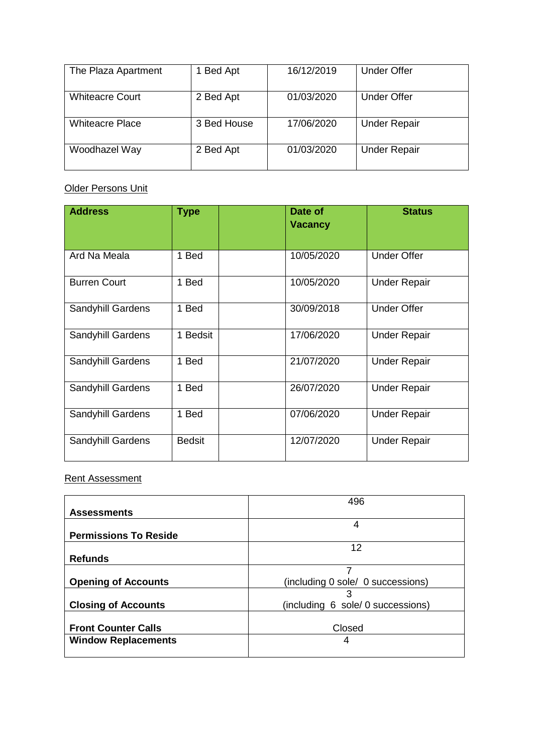| The Plaza Apartment    | 1 Bed Apt   | 16/12/2019 | <b>Under Offer</b>  |
|------------------------|-------------|------------|---------------------|
| <b>Whiteacre Court</b> | 2 Bed Apt   | 01/03/2020 | <b>Under Offer</b>  |
| <b>Whiteacre Place</b> | 3 Bed House | 17/06/2020 | <b>Under Repair</b> |
| Woodhazel Way          | 2 Bed Apt   | 01/03/2020 | <b>Under Repair</b> |

# Older Persons Unit

| <b>Address</b>           | <b>Type</b>   | Date of<br><b>Vacancy</b> | <b>Status</b>       |
|--------------------------|---------------|---------------------------|---------------------|
| Ard Na Meala             | 1 Bed         | 10/05/2020                | <b>Under Offer</b>  |
| <b>Burren Court</b>      | 1 Bed         | 10/05/2020                | <b>Under Repair</b> |
| <b>Sandyhill Gardens</b> | 1 Bed         | 30/09/2018                | <b>Under Offer</b>  |
| Sandyhill Gardens        | 1 Bedsit      | 17/06/2020                | <b>Under Repair</b> |
| Sandyhill Gardens        | 1 Bed         | 21/07/2020                | <b>Under Repair</b> |
| Sandyhill Gardens        | 1 Bed         | 26/07/2020                | <b>Under Repair</b> |
| <b>Sandyhill Gardens</b> | 1 Bed         | 07/06/2020                | <b>Under Repair</b> |
| Sandyhill Gardens        | <b>Bedsit</b> | 12/07/2020                | <b>Under Repair</b> |

# Rent Assessment

|                              | 496                               |  |  |
|------------------------------|-----------------------------------|--|--|
| <b>Assessments</b>           |                                   |  |  |
|                              | 4                                 |  |  |
| <b>Permissions To Reside</b> |                                   |  |  |
|                              | 12                                |  |  |
| <b>Refunds</b>               |                                   |  |  |
|                              | 7                                 |  |  |
| <b>Opening of Accounts</b>   | (including 0 sole/ 0 successions) |  |  |
|                              |                                   |  |  |
| <b>Closing of Accounts</b>   | (including 6 sole/ 0 successions) |  |  |
|                              |                                   |  |  |
| <b>Front Counter Calls</b>   | Closed                            |  |  |
| <b>Window Replacements</b>   | 4                                 |  |  |
|                              |                                   |  |  |